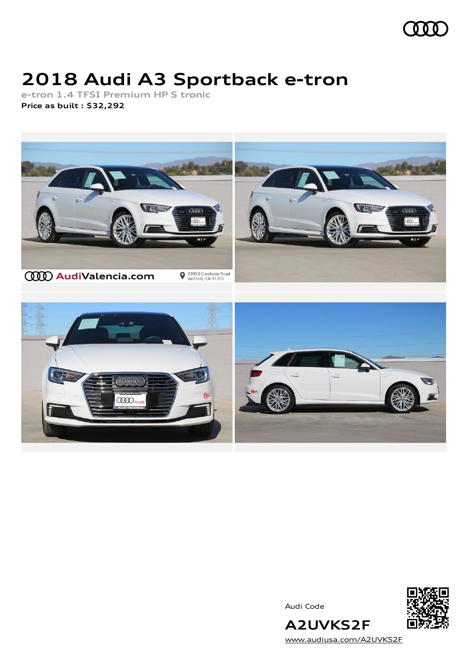

## **2018 Audi A3 Sportback e-tron**

**e-tron 1.4 TFSI Premium HP S tronic Price as built [:](#page-9-0) \$32,292**



Audi Code



[www.audiusa.com/A2UVKS2F](https://www.audiusa.com/A2UVKS2F)

**A2UVKS2F**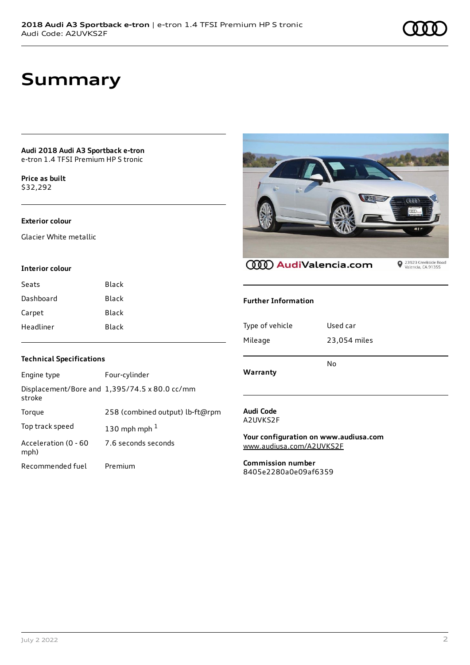## **Summary**

#### **Audi 2018 Audi A3 Sportback e-tron** e-tron 1.4 TFSI Premium HP S tronic

**Price as buil[t](#page-9-0)** \$32,292

### **Exterior colour**

Glacier White metallic

#### **Interior colour**

| Seats     | Black        |
|-----------|--------------|
| Dashboard | <b>Black</b> |
| Carpet    | Black        |
| Headliner | Black        |

# **AND** Q 23923 Creekside Road<br>Valencia, CA 91355

**CCCO** AudiValencia.com

#### **Further Information**

| Warranty        | No           |
|-----------------|--------------|
| Mileage         | 23,054 miles |
| Type of vehicle | Used car     |

#### **Technical Specifications**

| Engine type                  | Four-cylinder                                 |
|------------------------------|-----------------------------------------------|
| stroke                       | Displacement/Bore and 1,395/74.5 x 80.0 cc/mm |
| Torque                       | 258 (combined output) lb-ft@rpm               |
| Top track speed              | 130 mph mph $1$                               |
| Acceleration (0 - 60<br>mph) | 7.6 seconds seconds                           |
| Recommended fuel             | Premium                                       |

#### **Audi Code** A2UVKS2F

**Your configuration on www.audiusa.com** [www.audiusa.com/A2UVKS2F](https://www.audiusa.com/A2UVKS2F)

**Commission number** 8405e2280a0e09af6359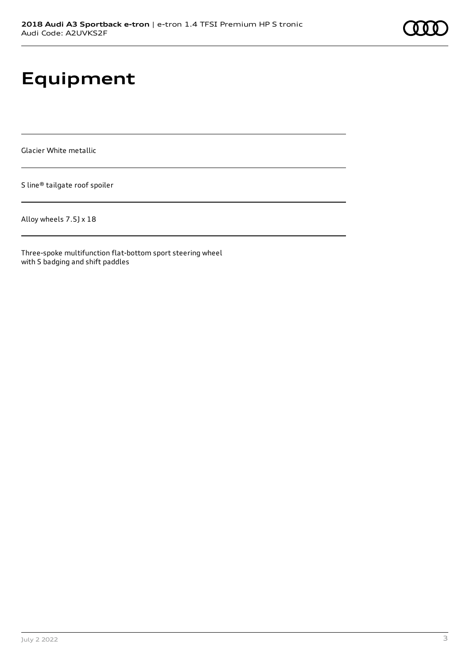## **Equipment**

Glacier White metallic

S line® tailgate roof spoiler

Alloy wheels 7.5J x 18

Three-spoke multifunction flat-bottom sport steering wheel with S badging and shift paddles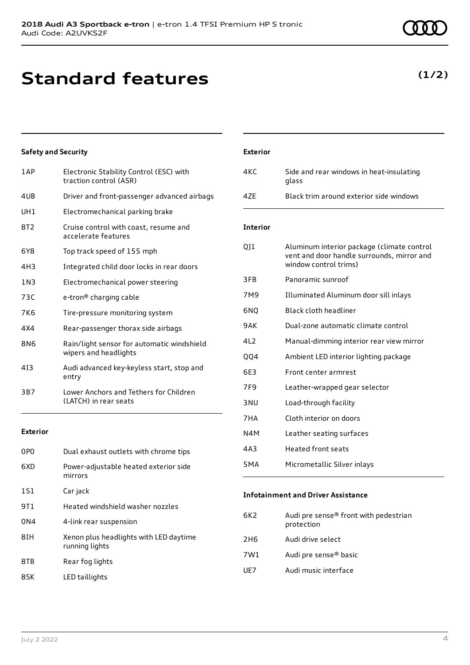## **Standard features**

#### **Safety and Security**

| 1AP        | Electronic Stability Control (ESC) with<br>traction control (ASR)   |
|------------|---------------------------------------------------------------------|
| 4UB        | Driver and front-passenger advanced airbags                         |
| UH1        | Electromechanical parking brake                                     |
| 8T2        | Cruise control with coast, resume and<br>accelerate features        |
| 6Y8        | Top track speed of 155 mph                                          |
| 4H3        | Integrated child door locks in rear doors                           |
| 1 N 3      | Electromechanical power steering                                    |
| 73C        | e-tron <sup>®</sup> charging cable                                  |
| 7K6        | Tire-pressure monitoring system                                     |
| 4X4        | Rear-passenger thorax side airbags                                  |
| <b>8N6</b> | Rain/light sensor for automatic windshield<br>wipers and headlights |
| 413        | Audi advanced key-keyless start, stop and<br>entry                  |
| 3B7        | Lower Anchors and Tethers for Children<br>(LATCH) in rear seats     |
|            |                                                                     |

#### **Exterior**

| 0P <sub>0</sub> | Dual exhaust outlets with chrome tips                    |
|-----------------|----------------------------------------------------------|
| 6XD             | Power-adjustable heated exterior side<br>mirrors         |
| 1S1             | Car jack                                                 |
| 9T 1            | Heated windshield washer nozzles                         |
| 0 <sub>N4</sub> | 4-link rear suspension                                   |
| 8IH             | Xenon plus headlights with LED daytime<br>running lights |
| 8TB             | Rear fog lights                                          |
| 8SK             | LED taillights                                           |

| 4KC             | Side and rear windows in heat-insulating<br>glass                                                                 |
|-----------------|-------------------------------------------------------------------------------------------------------------------|
| 4ZE             | Black trim around exterior side windows                                                                           |
| <b>Interior</b> |                                                                                                                   |
| 011             | Aluminum interior package (climate control<br>vent and door handle surrounds, mirror and<br>window control trims) |
| 3FB             | Panoramic sunroof                                                                                                 |
| 7M9             | Illuminated Aluminum door sill inlays                                                                             |
| 6NQ             | Black cloth headliner                                                                                             |
| 9AK             | Dual-zone automatic climate control                                                                               |
| 412             | Manual-dimming interior rear view mirror                                                                          |
| QQ4             | Ambient LED interior lighting package                                                                             |
| 6F3             | Front center armrest                                                                                              |
| 7F9             | Leather-wrapped gear selector                                                                                     |
| 3 <sub>NU</sub> | Load-through facility                                                                                             |
| 7HA             | Cloth interior on doors                                                                                           |
| N4M             | Leather seating surfaces                                                                                          |
| 4A3             | <b>Heated front seats</b>                                                                                         |
| 5MA             | Micrometallic Silver inlays                                                                                       |

#### **Infotainment and Driver Assistance**

| Audi pre sense® front with pedestrian |
|---------------------------------------|
|                                       |
|                                       |
|                                       |
|                                       |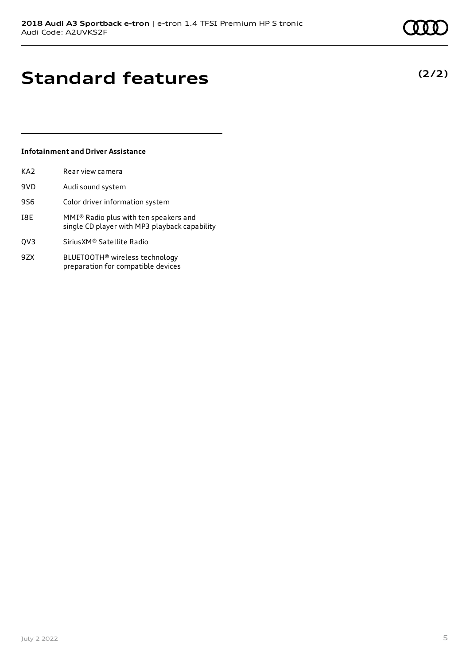**(2/2)**

## **Standard features**

#### **Infotainment and Driver Assistance**

| KA2 | Rear view camera                                                                       |
|-----|----------------------------------------------------------------------------------------|
| 9VD | Audi sound system                                                                      |
| 9S6 | Color driver information system                                                        |
| I8E | MMI® Radio plus with ten speakers and<br>single CD player with MP3 playback capability |
| QV3 | Sirius XM® Satellite Radio                                                             |
| 9ZX | BLUETOOTH <sup>®</sup> wireless technology<br>preparation for compatible devices       |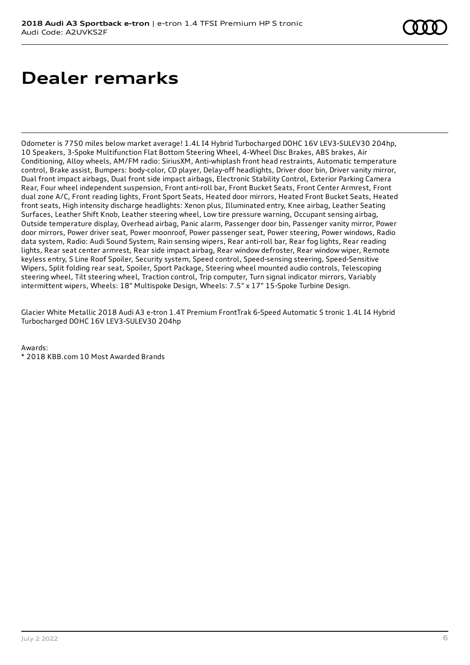## **Dealer remarks**

Odometer is 7750 miles below market average! 1.4L I4 Hybrid Turbocharged DOHC 16V LEV3-SULEV30 204hp, 10 Speakers, 3-Spoke Multifunction Flat Bottom Steering Wheel, 4-Wheel Disc Brakes, ABS brakes, Air Conditioning, Alloy wheels, AM/FM radio: SiriusXM, Anti-whiplash front head restraints, Automatic temperature control, Brake assist, Bumpers: body-color, CD player, Delay-off headlights, Driver door bin, Driver vanity mirror, Dual front impact airbags, Dual front side impact airbags, Electronic Stability Control, Exterior Parking Camera Rear, Four wheel independent suspension, Front anti-roll bar, Front Bucket Seats, Front Center Armrest, Front dual zone A/C, Front reading lights, Front Sport Seats, Heated door mirrors, Heated Front Bucket Seats, Heated front seats, High intensity discharge headlights: Xenon plus, Illuminated entry, Knee airbag, Leather Seating Surfaces, Leather Shift Knob, Leather steering wheel, Low tire pressure warning, Occupant sensing airbag, Outside temperature display, Overhead airbag, Panic alarm, Passenger door bin, Passenger vanity mirror, Power door mirrors, Power driver seat, Power moonroof, Power passenger seat, Power steering, Power windows, Radio data system, Radio: Audi Sound System, Rain sensing wipers, Rear anti-roll bar, Rear fog lights, Rear reading lights, Rear seat center armrest, Rear side impact airbag, Rear window defroster, Rear window wiper, Remote keyless entry, S Line Roof Spoiler, Security system, Speed control, Speed-sensing steering, Speed-Sensitive Wipers, Split folding rear seat, Spoiler, Sport Package, Steering wheel mounted audio controls, Telescoping steering wheel, Tilt steering wheel, Traction control, Trip computer, Turn signal indicator mirrors, Variably intermittent wipers, Wheels: 18" Multispoke Design, Wheels: 7.5" x 17" 15-Spoke Turbine Design.

Glacier White Metallic 2018 Audi A3 e-tron 1.4T Premium FrontTrak 6-Speed Automatic S tronic 1.4L I4 Hybrid Turbocharged DOHC 16V LEV3-SULEV30 204hp

Awards: \* 2018 KBB.com 10 Most Awarded Brands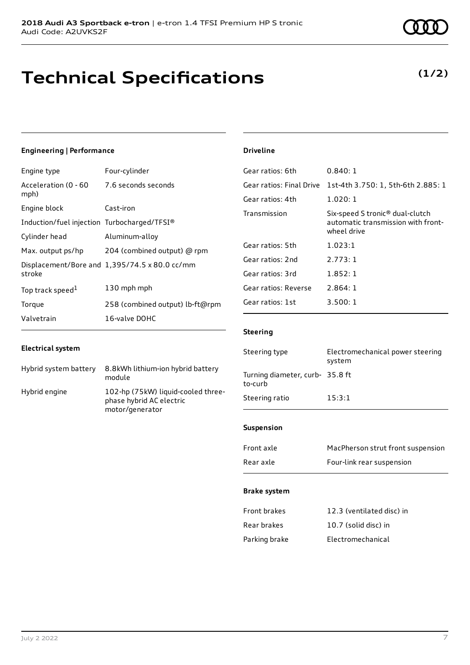## **Technical Specifications**

#### **Engineering | Performance**

| Engine type                                      | Four-cylinder                                 |
|--------------------------------------------------|-----------------------------------------------|
| Acceleration (0 - 60 7.6 seconds seconds<br>mph) |                                               |
| Engine block                                     | Cast-iron                                     |
| Induction/fuel injection Turbocharged/TFSI®      |                                               |
| Cylinder head                                    | Aluminum-alloy                                |
| Max. output ps/hp                                | 204 (combined output) @ rpm                   |
| stroke                                           | Displacement/Bore and 1,395/74.5 x 80.0 cc/mm |
| Top track speed <sup>1</sup>                     | 130 mph mph                                   |
| Torque                                           | 258 (combined output) lb-ft@rpm               |
| Valvetrain                                       | 16-valve DOHC                                 |

#### **Electrical system**

| Hybrid system battery | 8.8kWh lithium-ion hybrid battery<br>module                                       |
|-----------------------|-----------------------------------------------------------------------------------|
| Hybrid engine         | 102-hp (75kW) liquid-cooled three-<br>phase hybrid AC electric<br>motor/generator |

#### **Driveline**

| 0.840:1                                                                                          |
|--------------------------------------------------------------------------------------------------|
| 1st-4th 3.750: 1, 5th-6th 2.885: 1                                                               |
| 1.020:1                                                                                          |
| Six-speed S tronic <sup>®</sup> dual-clutch<br>automatic transmission with front-<br>wheel drive |
| 1.023:1                                                                                          |
| 2.773:1                                                                                          |
| 1.852:1                                                                                          |
| 2.864:1                                                                                          |
| 3.500:1                                                                                          |
|                                                                                                  |

#### **Steering**

| Steering type                              | Electromechanical power steering<br>system |
|--------------------------------------------|--------------------------------------------|
| Turning diameter, curb- 35.8 ft<br>to-curb |                                            |
| Steering ratio                             | 15:3:1                                     |

#### **Suspension**

| Front axle | MacPherson strut front suspension |
|------------|-----------------------------------|
| Rear axle  | Four-link rear suspension         |

#### **Brake system**

| Front brakes  | 12.3 (ventilated disc) in |
|---------------|---------------------------|
| Rear brakes   | 10.7 (solid disc) in      |
| Parking brake | Electromechanical         |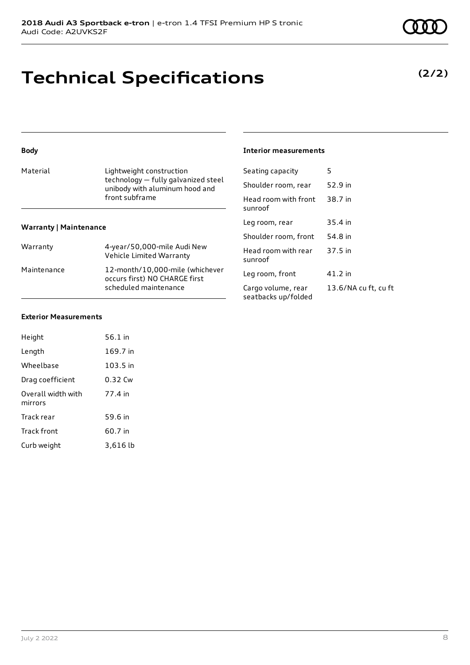## **Technical Specifications**

| <b>Body</b>                                                                                   |                                                                  | <b>Interior measurements</b>              |                      |
|-----------------------------------------------------------------------------------------------|------------------------------------------------------------------|-------------------------------------------|----------------------|
| Material<br>Lightweight construction<br>technology - fully galvanized steel<br>front subframe |                                                                  | Seating capacity                          | 5                    |
|                                                                                               | unibody with aluminum hood and                                   | Shoulder room, rear                       | 52.9 in              |
|                                                                                               |                                                                  | Head room with front<br>sunroof           | 38.7 in              |
| <b>Warranty   Maintenance</b>                                                                 |                                                                  | Leg room, rear                            | 35.4 in              |
|                                                                                               |                                                                  | Shoulder room, front                      | 54.8 in              |
| Warranty                                                                                      | 4-year/50,000-mile Audi New<br>Vehicle Limited Warranty          | Head room with rear<br>sunroof            | 37.5 in              |
| Maintenance                                                                                   | 12-month/10,000-mile (whichever<br>occurs first) NO CHARGE first | Leg room, front                           | $41.2$ in            |
|                                                                                               | scheduled maintenance                                            | Cargo volume, rear<br>seatbacks up/folded | 13.6/NA cu ft, cu ft |
|                                                                                               |                                                                  |                                           |                      |

#### **Exterior Measurements**

| Height                        | 56.1 in    |
|-------------------------------|------------|
| Length                        | 169.7 in   |
| Wheelbase                     | $103.5$ in |
| Drag coefficient              | 0.32 Cw    |
| Overall width with<br>mirrors | 77.4 in    |
| Track rear                    | 59.6 in    |
| <b>Track front</b>            | 60.7 in    |
| Curb weight                   | 3,616 lb   |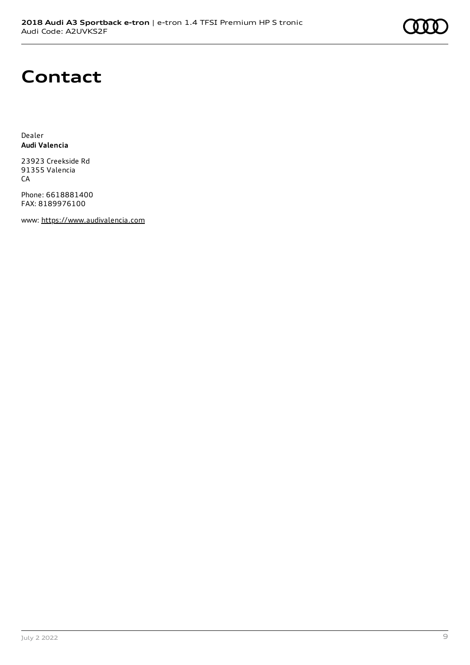## **Contact**

Dealer **Audi Valencia**

23923 Creekside Rd 91355 Valencia CA

Phone: 6618881400 FAX: 8189976100

www: [https://www.audivalencia.com](https://www.audivalencia.com/)